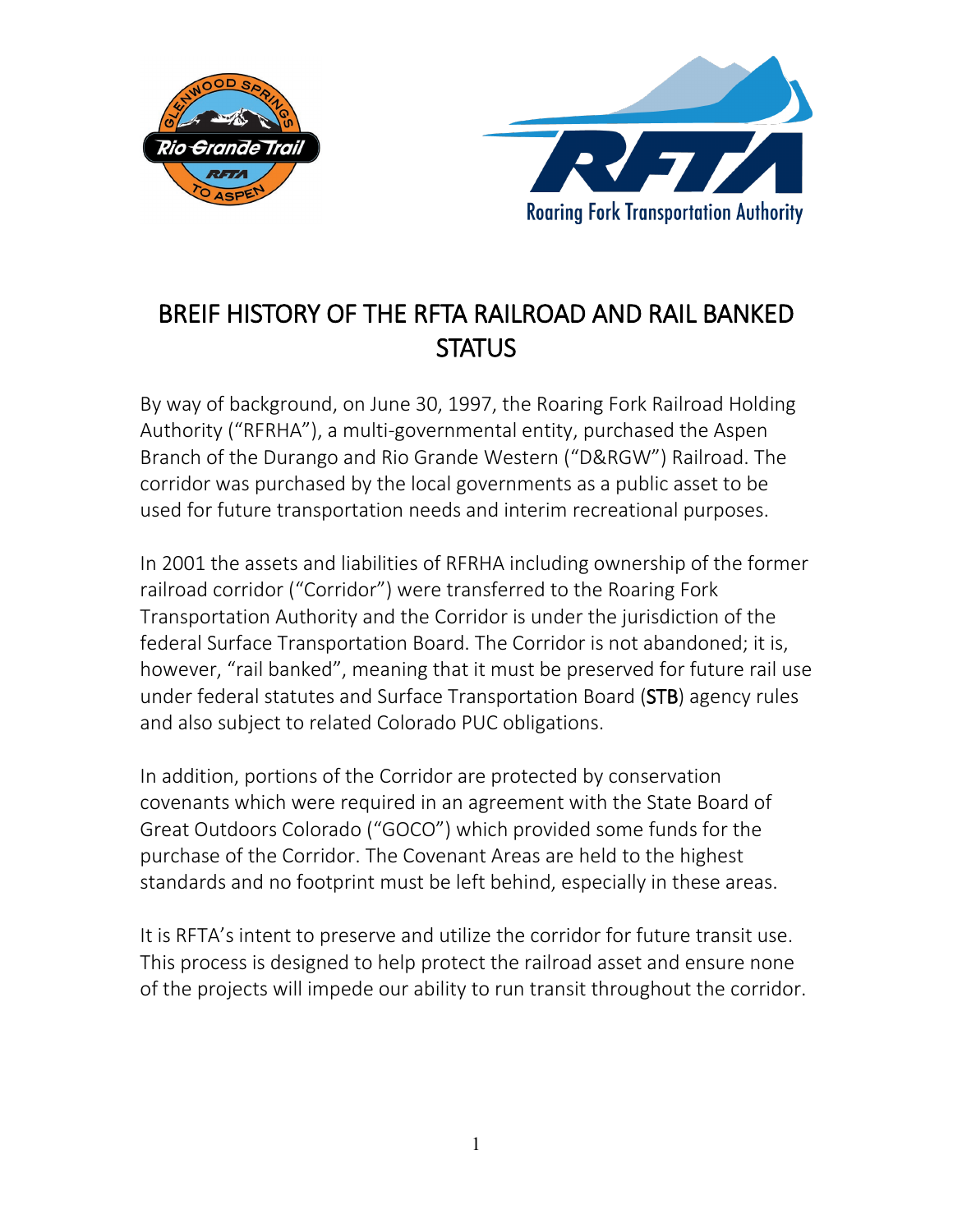



## BREIF HISTORY OF THE RFTA RAILROAD AND RAIL BANKED **STATUS**

By way of background, on June 30, 1997, the Roaring Fork Railroad Holding Authority ("RFRHA"), a multi-governmental entity, purchased the Aspen Branch of the Durango and Rio Grande Western ("D&RGW") Railroad. The corridor was purchased by the local governments as a public asset to be used for future transportation needs and interim recreational purposes.

In 2001 the assets and liabilities of RFRHA including ownership of the former railroad corridor ("Corridor") were transferred to the Roaring Fork Transportation Authority and the Corridor is under the jurisdiction of the federal Surface Transportation Board. The Corridor is not abandoned; it is, however, "rail banked", meaning that it must be preserved for future rail use under federal statutes and Surface Transportation Board (STB) agency rules and also subject to related Colorado PUC obligations.

In addition, portions of the Corridor are protected by conservation covenants which were required in an agreement with the State Board of Great Outdoors Colorado ("GOCO") which provided some funds for the purchase of the Corridor. The Covenant Areas are held to the highest standards and no footprint must be left behind, especially in these areas.

It is RFTA's intent to preserve and utilize the corridor for future transit use. This process is designed to help protect the railroad asset and ensure none of the projects will impede our ability to run transit throughout the corridor.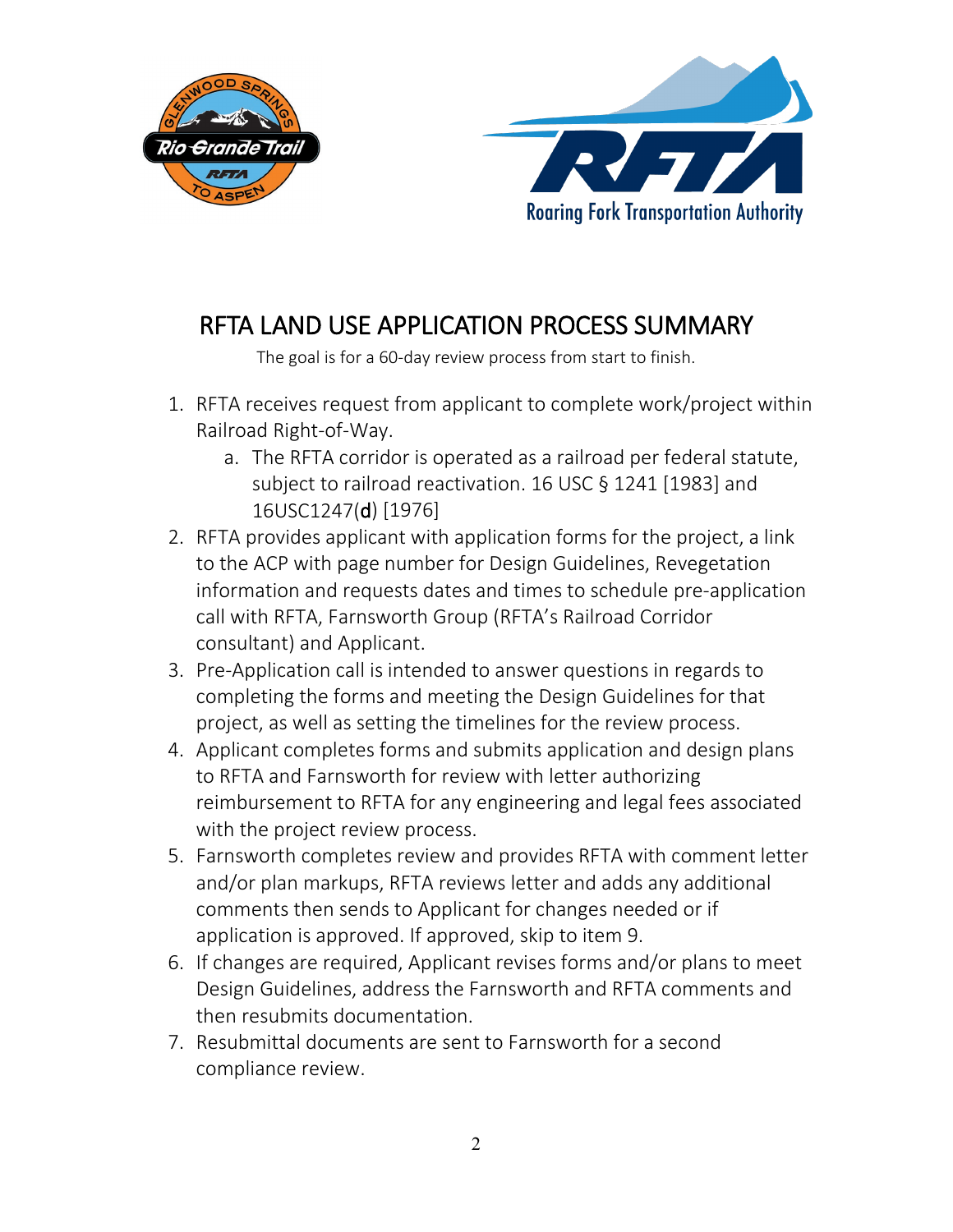



## RFTA LAND USE APPLICATION PROCESS SUMMARY

The goal is for a 60-day review process from start to finish.

- 1. RFTA receives request from applicant to complete work/project within Railroad Right-of-Way.
	- a. The RFTA corridor is operated as a railroad per federal statute, subject to railroad reactivation. 16 USC § 1241 [1983] and 16USC1247(d) [1976]
- 2. RFTA provides applicant with application forms for the project, a link to the ACP with page number for Design Guidelines, Revegetation information and requests dates and times to schedule pre-application call with RFTA, Farnsworth Group (RFTA's Railroad Corridor consultant) and Applicant.
- 3. Pre-Application call is intended to answer questions in regards to completing the forms and meeting the Design Guidelines for that project, as well as setting the timelines for the review process.
- 4. Applicant completes forms and submits application and design plans to RFTA and Farnsworth for review with letter authorizing reimbursement to RFTA for any engineering and legal fees associated with the project review process.
- 5. Farnsworth completes review and provides RFTA with comment letter and/or plan markups, RFTA reviews letter and adds any additional comments then sends to Applicant for changes needed or if application is approved. If approved, skip to item 9.
- 6. If changes are required, Applicant revises forms and/or plans to meet Design Guidelines, address the Farnsworth and RFTA comments and then resubmits documentation.
- 7. Resubmittal documents are sent to Farnsworth for a second compliance review.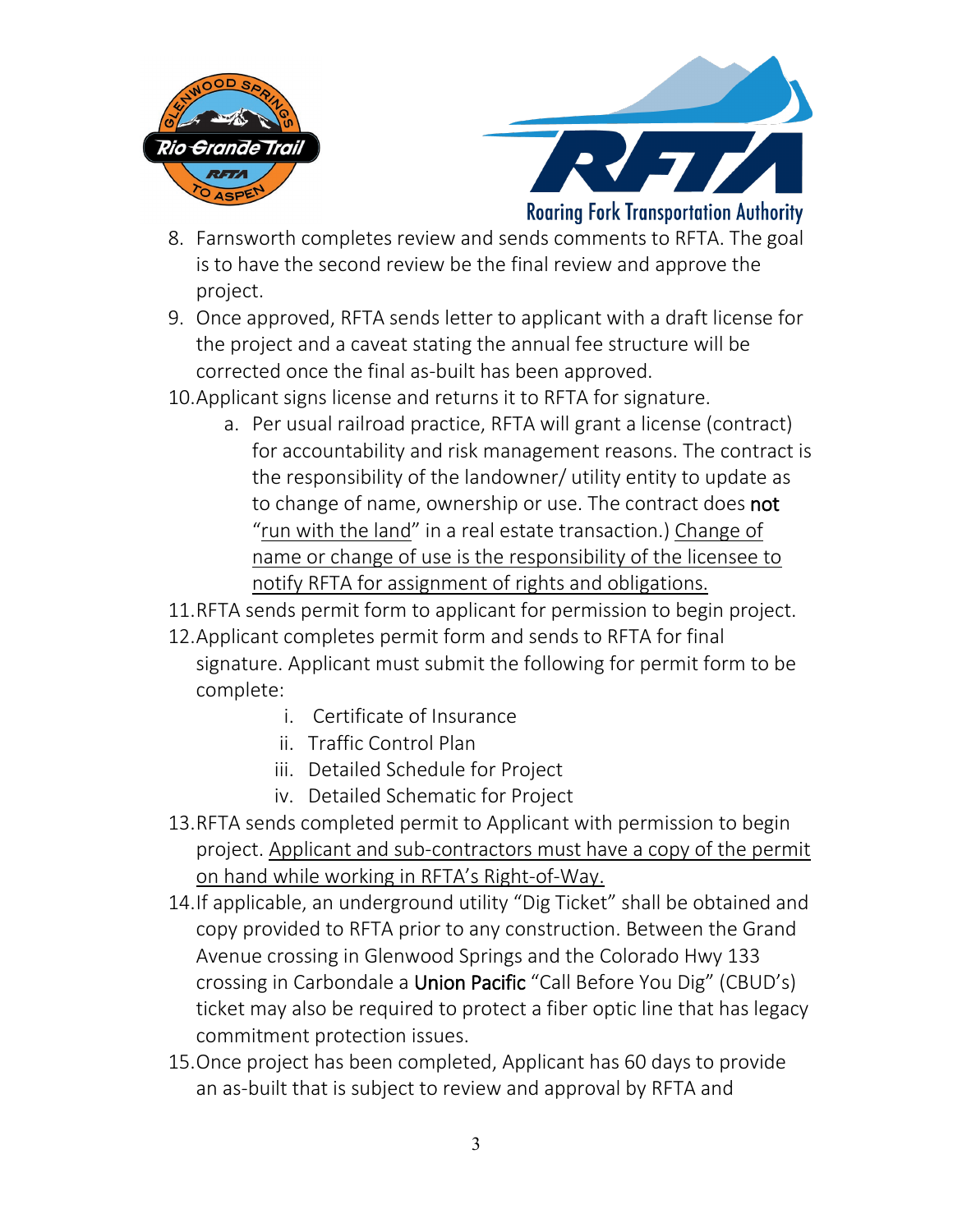



**Roaring Fork Transportation Authority** 

- 8. Farnsworth completes review and sends comments to RFTA. The goal is to have the second review be the final review and approve the project.
- 9. Once approved, RFTA sends letter to applicant with a draft license for the project and a caveat stating the annual fee structure will be corrected once the final as-built has been approved.
- 10.Applicant signs license and returns it to RFTA for signature.
	- a. Per usual railroad practice, RFTA will grant a license (contract) for accountability and risk management reasons. The contract is the responsibility of the landowner/ utility entity to update as to change of name, ownership or use. The contract does **not** "run with the land" in a real estate transaction.) Change of name or change of use is the responsibility of the licensee to notify RFTA for assignment of rights and obligations.
- 11.RFTA sends permit form to applicant for permission to begin project.
- 12.Applicant completes permit form and sends to RFTA for final signature. Applicant must submit the following for permit form to be complete:
	- i. Certificate of Insurance
	- ii. Traffic Control Plan
	- iii. Detailed Schedule for Project
	- iv. Detailed Schematic for Project
- 13.RFTA sends completed permit to Applicant with permission to begin project. Applicant and sub-contractors must have a copy of the permit on hand while working in RFTA's Right-of-Way.
- 14.If applicable, an underground utility "Dig Ticket" shall be obtained and copy provided to RFTA prior to any construction. Between the Grand Avenue crossing in Glenwood Springs and the Colorado Hwy 133 crossing in Carbondale a Union Pacific "Call Before You Dig" (CBUD's) ticket may also be required to protect a fiber optic line that has legacy commitment protection issues.
- 15.Once project has been completed, Applicant has 60 days to provide an as-built that is subject to review and approval by RFTA and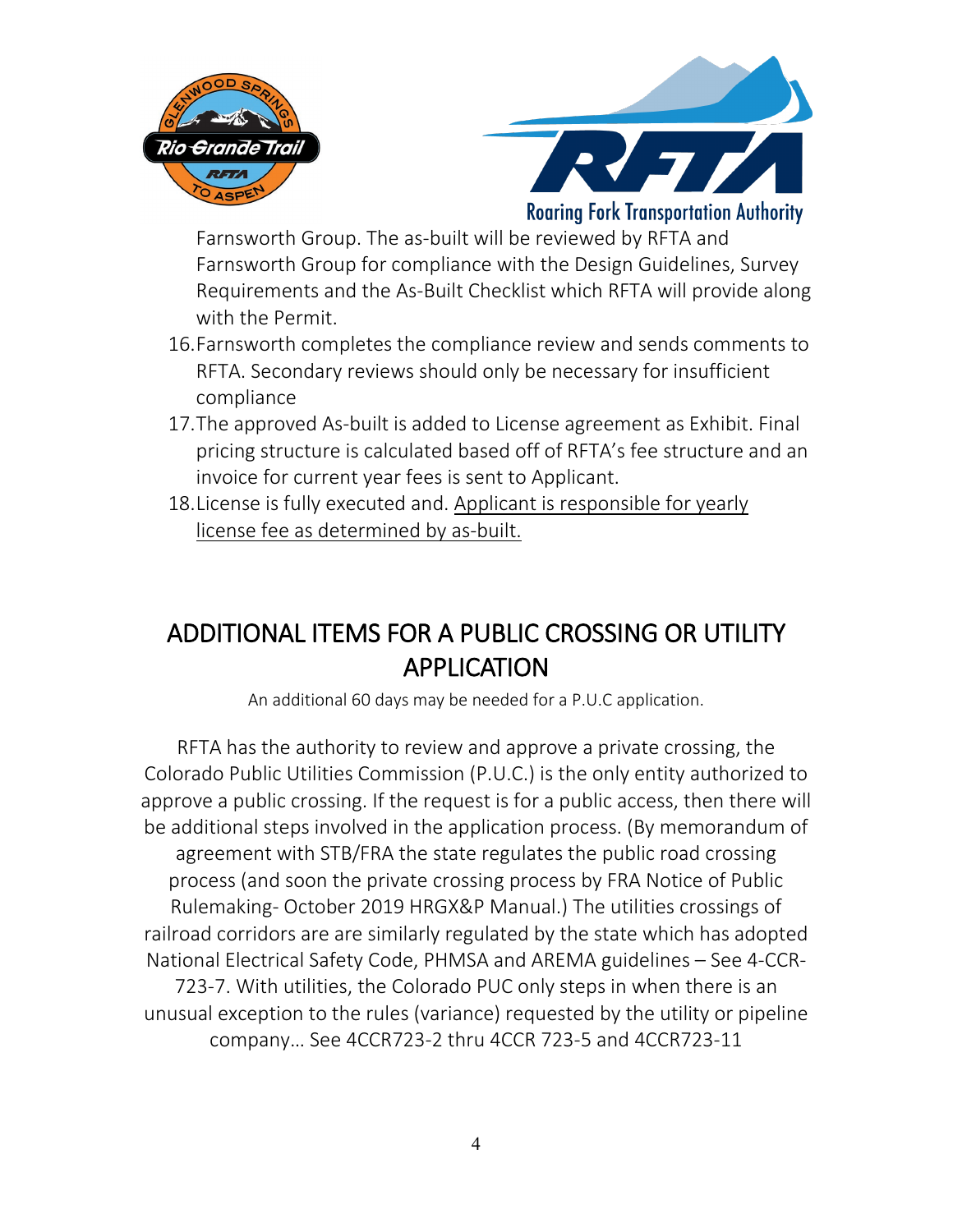



**Roaring Fork Transportation Authority** 

Farnsworth Group. The as-built will be reviewed by RFTA and Farnsworth Group for compliance with the Design Guidelines, Survey Requirements and the As-Built Checklist which RFTA will provide along with the Permit.

- 16.Farnsworth completes the compliance review and sends comments to RFTA. Secondary reviews should only be necessary for insufficient compliance
- 17.The approved As-built is added to License agreement as Exhibit. Final pricing structure is calculated based off of RFTA's fee structure and an invoice for current year fees is sent to Applicant.
- 18.License is fully executed and. Applicant is responsible for yearly license fee as determined by as-built.

## ADDITIONAL ITEMS FOR A PUBLIC CROSSING OR UTILITY APPLICATION

An additional 60 days may be needed for a P.U.C application.

RFTA has the authority to review and approve a private crossing, the Colorado Public Utilities Commission (P.U.C.) is the only entity authorized to approve a public crossing. If the request is for a public access, then there will be additional steps involved in the application process. (By memorandum of agreement with STB/FRA the state regulates the public road crossing process (and soon the private crossing process by FRA Notice of Public Rulemaking- October 2019 HRGX&P Manual.) The utilities crossings of railroad corridors are are similarly regulated by the state which has adopted National Electrical Safety Code, PHMSA and AREMA guidelines – See 4-CCR-723-7. With utilities, the Colorado PUC only steps in when there is an unusual exception to the rules (variance) requested by the utility or pipeline company… See 4CCR723-2 thru 4CCR 723-5 and 4CCR723-11